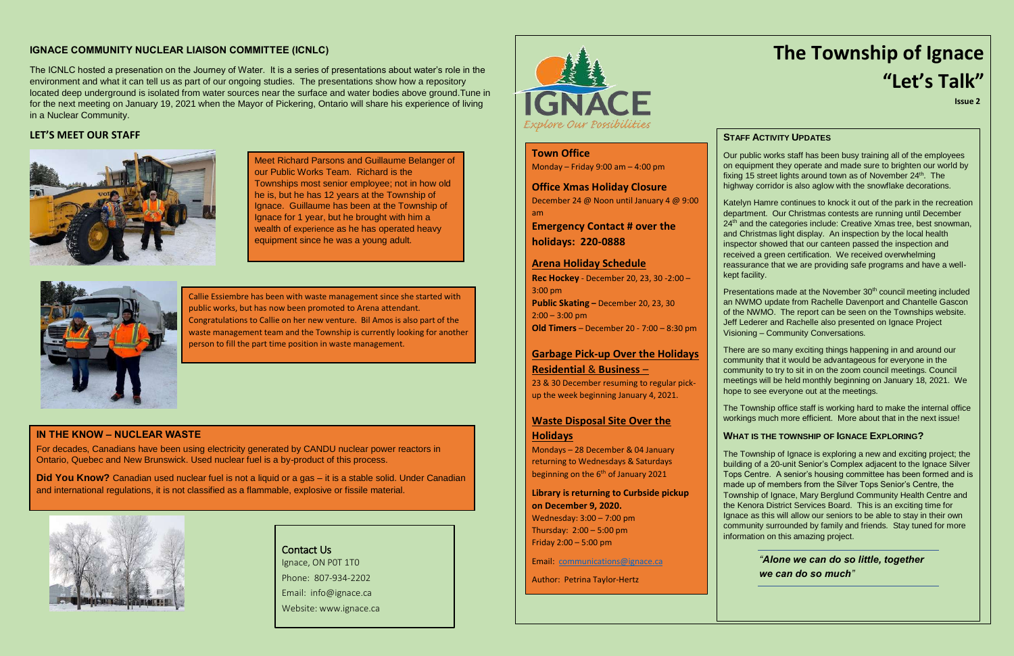#### **IGNACE COMMUNITY NUCLEAR LIAISON COMMITTEE (ICNLC)**

The ICNLC hosted a presenation on the Journey of Water. It is a series of presentations about water's role in the environment and what it can tell us as part of our ongoing studies. The presentations show how a repository located deep underground is isolated from water sources near the surface and water bodies above ground.Tune in for the next meeting on January 19, 2021 when the Mayor of Pickering, Ontario will share his experience of living in a Nuclear Community.

#### **LET'S MEET OUR STAFF**



Meet Richard Parsons and Guillaume Belanger of our Public Works Team. Richard is the Townships most senior employee; not in how old he is, but he has 12 years at the Township of Ignace. Guillaume has been at the Township of Ignace for 1 year, but he brought with him a wealth of experience as he has operated heavy equipment since he was a young adult.



Callie Essiembre has been with waste management since she started with public works, but has now been promoted to Arena attendant. Congratulations to Callie on her new venture. Bil Amos is also part of the waste management team and the Township is currently looking for another person to fill the part time position in waste management.

Presentations made at the November 30<sup>th</sup> council meeting included an NWMO update from Rachelle Davenport and Chantelle Gascon of the NWMO. The report can be seen on the Townships website. Jeff Lederer and Rachelle also presented on Ignace Project Visioning – Community Conversations.

# **The Township of Ignace "Let's Talk"**

**Issue 2**

#### **STAFF ACTIVITY UPDATES**

Our public works staff has been busy training all of the employees on equipment they operate and made sure to brighten our world by fixing 15 street lights around town as of November 24<sup>th</sup>. The highway corridor is also aglow with the snowflake decorations.

Katelyn Hamre continues to knock it out of the park in the recreation department. Our Christmas contests are running until December 24<sup>th</sup> and the categories include: Creative Xmas tree, best snowman, and Christmas light display. An inspection by the local health inspector showed that our canteen passed the inspection and received a green certification. We received overwhelming reassurance that we are providing safe programs and have a wellkept facility.

**Did You Know?** Canadian used nuclear fuel is not a liquid or a gas – it is a stable solid. Under Canadian and international regulations, it is not classified as a flammable, explosive or fissile material.



Mondays – 28 December & 04 January returning to Wednesdays & Saturdays beginning on the 6<sup>th</sup> of January 2021

There are so many exciting things happening in and around our community that it would be advantageous for everyone in the community to try to sit in on the zoom council meetings. Council meetings will be held monthly beginning on January 18, 2021. We hope to see everyone out at the meetings.

The Township office staff is working hard to make the internal office workings much more efficient. More about that in the next issue!

#### **WHAT IS THE TOWNSHIP OF IGNACE EXPLORING?**

The Township of Ignace is exploring a new and exciting project; the building of a 20-unit Senior's Complex adjacent to the Ignace Silver Tops Centre. A senior's housing committee has been formed and is made up of members from the Silver Tops Senior's Centre, the Township of Ignace, Mary Berglund Community Health Centre and the Kenora District Services Board. This is an exciting time for Ignace as this will allow our seniors to be able to stay in their own community surrounded by family and friends. Stay tuned for more information on this amazing project.

#### *"Alone we can do so little, together we can do so much"*

#### **IN THE KNOW – NUCLEAR WASTE**

For decades, Canadians have been using electricity generated by CANDU nuclear power reactors in Ontario, Quebec and New Brunswick. Used nuclear fuel is a by-product of this process.

> Contact Us Ignace, ON P0T 1T0 Phone: 807-934-2202 Email: info@ignace.ca Website: www.ignace.ca



**Town Office** Monday – Friday 9:00 am – 4:00 pm

**Office Xmas Holiday Closure**

December 24 @ Noon until January 4 @ 9:00 am

**Emergency Contact # over the holidays: 220-0888**

#### **Arena Holiday Schedule**

**Rec Hockey** - December 20, 23, 30 -2:00 – 3:00 pm **Public Skating –** December 20, 23, 30  $2:00 - 3:00$  pm **Old Timers** – December 20 - 7:00 – 8:30 pm

#### **Garbage Pick-up Over the Holidays Residential** & **Business** –

23 & 30 December resuming to regular pickup the week beginning January 4, 2021.

#### **Waste Disposal Site Over the**

#### **Holidays**

**Library is returning to Curbside pickup on December 9, 2020.**

Wednesday: 3:00 – 7:00 pm Thursday: 2:00 – 5:00 pm Friday 2:00 – 5:00 pm

Email: [communications@ignace.ca](mailto:communications@ignace.ca)

Author: Petrina Taylor-Hertz